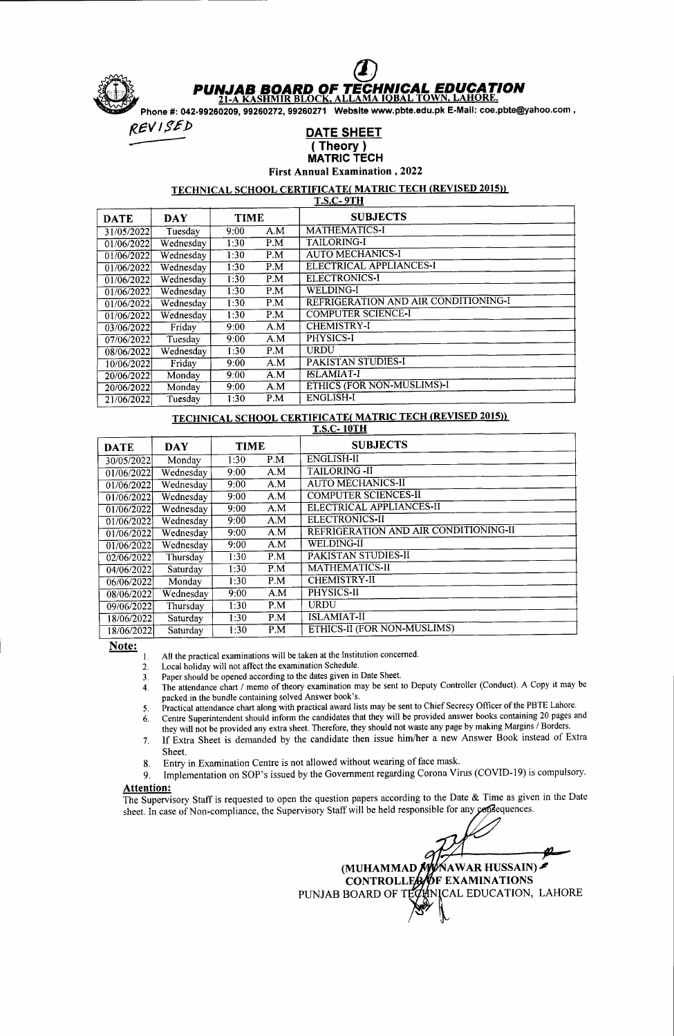

# **JAB BOARD OF TECHNICAL EDUCATION**<br>-A KASHMIR BLOCK, ALLAMA IOBAL TOWN, LAHORE.

21-A KASHMIR BLOCK, ALLAMA IQBAL TOWN, LAHORE.<br>Phone #: 042-99260209, 99260272, 99260271 Website www.pbte.edu.pk E-Mail: coe.pbte@yahoo.com

### DATE SHEET ( Theor<u>y )</u> MATRIC TECH

First Annual Examination ,2022

# TECHNICAL SCHOOL CERTIFICATE (MATRIC TECH (REVISED 2015))

| <b>DATE</b> | <b>DAY</b> | <b>TIME</b> |     | <b>SUBJECTS</b>                      |
|-------------|------------|-------------|-----|--------------------------------------|
| 31/05/2022  | Tuesday    | 9:00        | A.M | <b>MATHEMATICS-I</b>                 |
| 01/06/2022  | Wednesday  | 1:30        | P.M | <b>TAILORING-I</b>                   |
| 01/06/2022  | Wednesday  | 1:30        | P.M | <b>AUTO MECHANICS-I</b>              |
| 01/06/2022  | Wednesday  | 1:30        | P.M | ELECTRICAL APPLIANCES-I              |
| 01/06/2022  | Wednesday  | 1:30        | P.M | <b>ELECTRONICS-I</b>                 |
| 01/06/2022  | Wednesday  | 1:30        | P.M | <b>WELDING-I</b>                     |
| 01/06/2022  | Wednesday  | 1:30        | P.M | REFRIGERATION AND AIR CONDITIONING-I |
| 01/06/2022  | Wednesdav  | 1:30        | P.M | <b>COMPUTER SCIENCE-I</b>            |
| 03/06/2022  | Friday     | 9:00        | A.M | <b>CHEMISTRY-I</b>                   |
| 07/06/2022  | Tuesday    | 9:00        | A.M | PHYSICS-I                            |
| 08/06/2022  | Wednesday  | 1:30        | P.M | <b>URDU</b>                          |
| 10/06/2022  | Friday     | 9:00        | A.M | <b>PAKISTAN STUDIES-I</b>            |
| 20/06/2022  | Monday     | 9:00        | A.M | <b>ISLAMIAT-I</b>                    |
| 20/06/2022  | Monday     | 9:00        | A.M | ETHICS (FOR NON-MUSLIMS)-I           |
| 21/06/2022  | Tuesday    | 1:30        | P.M | <b>ENGLISH-I</b>                     |

# TECHNICAL SCHOOL CERTIFICATE( MATRIC TECH (REVISED 2015))

| <b>DATE</b>         | <b>DAY</b> | <b>TIME</b> |     | <b>SUBJECTS</b>                       |  |  |  |
|---------------------|------------|-------------|-----|---------------------------------------|--|--|--|
| 30/05/2022          | Monday     | 1:30        | P.M | <b>ENGLISH-II</b>                     |  |  |  |
| 01/06/2022          | Wednesday  | 9:00        | A.M | <b>TAILORING - II</b>                 |  |  |  |
| 01/06/2022          | Wednesday  | 9:00        | A.M | AUTO MECHANICS-II                     |  |  |  |
| 01/06/2022          | Wednesday  | 9:00        | A.M | <b>COMPUTER SCIENCES-II</b>           |  |  |  |
| $\sqrt{01/06/2022}$ | Wednesday  | 9:00        | A.M | ELECTRICAL APPLIANCES-II              |  |  |  |
| 01/06/2022          | Wednesday  | 9:00        | A.M | <b>ELECTRONICS-II</b>                 |  |  |  |
| 01/06/2022          | Wednesday  | 9:00        | A.M | REFRIGERATION AND AIR CONDITIONING-II |  |  |  |
| 01/06/2022          | Wednesday  | 9:00        | A.M | <b>WELDING-II</b>                     |  |  |  |
| 02/06/2022          | Thursday   | 1:30        | P.M | PAKISTAN STUDIES-II                   |  |  |  |
| 04/06/2022          | Saturday   | 1:30        | P.M | MATHEMATICS-II                        |  |  |  |
| 06/06/2022          | Monday     | 1:30        | P.M | <b>CHEMISTRY-II</b>                   |  |  |  |
| 08/06/2022          | Wednesday  | 9:00        | A.M | PHYSICS-II                            |  |  |  |
| 09/06/2022          | Thursday   | 1:30        | P.M | <b>URDU</b>                           |  |  |  |
| 18/06/2022          | Saturday   | 1:30        | P.M | <b>ISLAMIAT-II</b>                    |  |  |  |
| 18/06/2022          | Saturday   | 1:30        | P.M | ETHICS-II (FOR NON-MUSLIMS)           |  |  |  |

Note:

All the practical examinations will be taken at the Institution concerned. l.

Local holiday will not affect the examination Schedule. 2.

- Paper should be opened according to the dates given in Date Sheet. 3.
- The attendance chart / memo of theory examination may be sent to Deputy Controller (Conduct). A Copy it may be packed in the bundle containing solved Answer book's. 4.
- Practical attendance chart along with practical award lists may be sent to Chief Secrecy Officer of the PBTE Lahore. 5.
- Centre Superintendent should inform the candidates that they will be provided answer books containing 20 pages and they will not be provided any extra sheet. Therefore, they should not waste any page by making Margins / Borders. o.
- If Extra Sheet is demanded by the candidate then issue him/her a new Answer Book instead of Extra Sheet. 7.
- 
- 8. Entry in Examination Centre is not allowed without wearing of face mask.<br>9. Implementation on SOP's issued by the Government regarding Corona Vi Implementation on SOP's issued by the Government regarding Corona Virus (COVID-19) is compulsory.

#### Attention:

The Supervisory Staff is requested to open the question papers according to the Date  $\&$  Time as given in the Date sheet. In case of Non-compliance, the Supervisory Staff will be held responsible for any consequences.

(MUHAMMAD *NY*AWAR HUSSAIN) · CONTROLLEA/OF EXAMINATIONS PUNJAB BOARD OF TECHNICAL EDUCATION, LAHORE  $\Vert$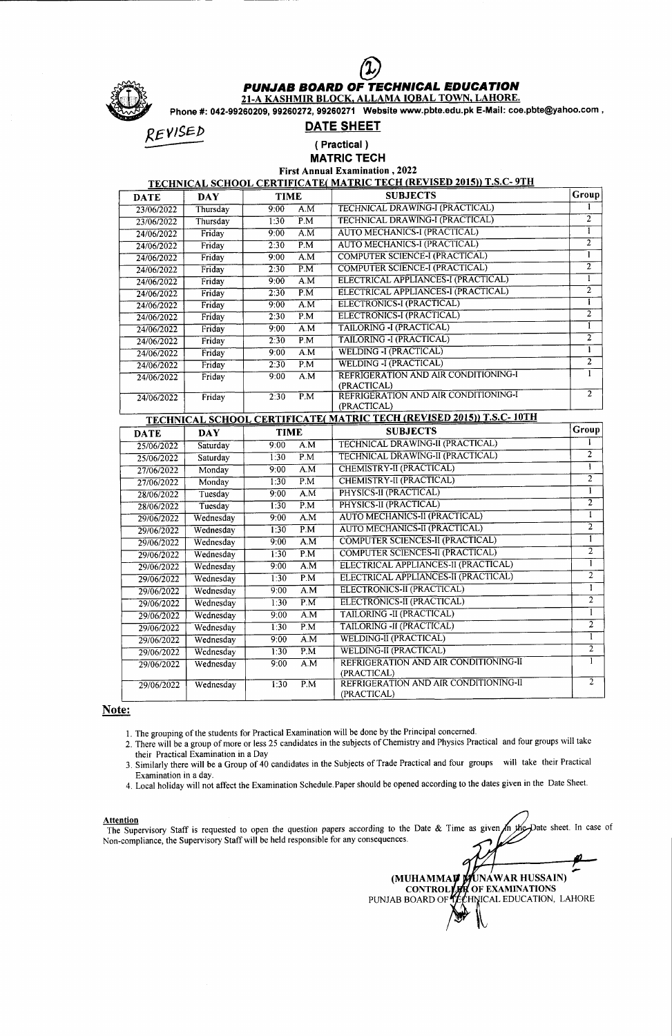

## PUNJAB BOARD OF TECHNICAL EDUCATION

21-A KASHMIR BLOCK. ALLAMA IOBAL TOWN. LAHORE.

Phone #: 042-99260209,99260272,99260271 Website www.pbte.edu.pk E.Mail: coe.pbte@yahoo.com ,

REVISED

## DATE SHEET

( Practical ) MATRIC TECH

First Annual Examination , 2022<br>TECHNICAL SCHOOL CERTIFICATE( MATRIC TECH (REVISED 2015)) T.S.C- 9TH

| <b>DATE</b> | DAY      | <b>TIME</b> | <b>SUBJECTS</b>                        | Group          |
|-------------|----------|-------------|----------------------------------------|----------------|
| 23/06/2022  | Thursday | A.M<br>9:00 | <b>TECHNICAL DRAWING-I (PRACTICAL)</b> |                |
| 23/06/2022  | Thursday | P.M<br>1:30 | <b>TECHNICAL DRAWING-I (PRACTICAL)</b> | 2              |
| 24/06/2022  | Friday   | A.M<br>9:00 | AUTO MECHANICS-I (PRACTICAL)           |                |
| 24/06/2022  | Friday   | P.M<br>2:30 | AUTO MECHANICS-I (PRACTICAL)           | 2              |
| 24/06/2022  | Friday   | A.M<br>9:00 | <b>COMPUTER SCIENCE-I (PRACTICAL)</b>  |                |
| 24/06/2022  | Friday   | P.M<br>2.30 | <b>COMPUTER SCIENCE-I (PRACTICAL)</b>  | 2              |
| 24/06/2022  | Friday   | A.M<br>9.00 | ELECTRICAL APPLIANCES-I (PRACTICAL)    |                |
| 24/06/2022  | Friday   | P.M<br>2.30 | ELECTRICAL APPLIANCES-I (PRACTICAL)    | $\overline{c}$ |
| 24/06/2022  | Friday   | A.M<br>9.00 | ELECTRONICS-I (PRACTICAL)              |                |
| 24/06/2022  | Friday   | P.M<br>2:30 | ELECTRONICS-I (PRACTICAL)              | $\overline{2}$ |
| 24/06/2022  | Friday   | A.M<br>9:00 | TAILORING -I (PRACTICAL)               |                |
| 24/06/2022  | Friday   | P.M<br>2:30 | TAILORING -I (PRACTICAL)               | $\overline{2}$ |
| 24/06/2022  | Friday   | A.M<br>9:00 | <b>WELDING -I (PRACTICAL)</b>          |                |
| 24/06/2022  | Friday   | P.M<br>2:30 | <b>WELDING -I (PRACTICAL)</b>          | $\overline{2}$ |
| 24/06/2022  | Friday   | A.M<br>9:00 | REFRIGERATION AND AIR CONDITIONING-I   |                |
|             |          |             | (PRACTICAL)                            | $\mathbf{2}$   |
| 24/06/2022  | Friday   | P.M<br>2:30 | REFRIGERATION AND AIR CONDITIONING-I   |                |
|             |          |             | (PRACTICAL)                            |                |

| <b>TECHNICAL SCHOOL CERTIFICATE( MATRIC TECH (REVISED 2015)) T.S.C. 10TH</b> |            |             |                  |                                         |                |  |  |
|------------------------------------------------------------------------------|------------|-------------|------------------|-----------------------------------------|----------------|--|--|
| <b>DATE</b>                                                                  | <b>DAY</b> | <b>TIME</b> |                  | <b>SUBJECTS</b>                         | Group          |  |  |
| 25/06/2022                                                                   | Saturday   | 9:00        | $\overline{A.M}$ | <b>TECHNICAL DRAWING-II (PRACTICAL)</b> |                |  |  |
| 25/06/2022                                                                   | Saturday   | 1:30        | P.M              | TECHNICAL DRAWING-II (PRACTICAL)        | $\overline{2}$ |  |  |
| 27/06/2022                                                                   | Monday     | 9:00        | A.M              | CHEMISTRY-II (PRACTICAL)                | 1              |  |  |
| 27/06/2022                                                                   | Monday     | 1:30        | $\overline{P.M}$ | CHEMISTRY-II (PRACTICAL)                | $\overline{2}$ |  |  |
| 28/06/2022                                                                   | Tuesday    | 9:00        | A.M              | PHYSICS-II (PRACTICAL)                  | ī              |  |  |
| 28/06/2022                                                                   | Tuesday    | 1:30        | P.M              | PHYSICS-II (PRACTICAL)                  | $\overline{2}$ |  |  |
| 29/06/2022                                                                   | Wednesday  | 9:00        | $\overline{A.M}$ | AUTO MECHANICS-II (PRACTICAL)           | 1              |  |  |
| 29/06/2022                                                                   | Wednesday  | 1:30        | P.M              | AUTO MECHANICS-II (PRACTICAL)           | $\overline{2}$ |  |  |
| 29/06/2022                                                                   | Wednesday  | 9:00        | A.M              | <b>COMPUTER SCIENCES-II (PRACTICAL)</b> | 1              |  |  |
| 29/06/2022                                                                   | Wednesday  | 1:30        | P.M              | <b>COMPUTER SCIENCES-II (PRACTICAL)</b> | $\overline{2}$ |  |  |
| 29/06/2022                                                                   | Wednesday  | 9:00        | A.M              | ELECTRICAL APPLIANCES-II (PRACTICAL)    | 1              |  |  |
| 29/06/2022                                                                   | Wednesday  | 1:30        | P.M              | ELECTRICAL APPLIANCES-II (PRACTICAL)    | $\overline{2}$ |  |  |
| 29/06/2022                                                                   | Wednesday  | 9:00        | A.M              | ELECTRONICS-II (PRACTICAL)              | 1              |  |  |
| 29/06/2022                                                                   | Wednesday  | 1:30        | P.M              | ELECTRONICS-II (PRACTICAL)              | $\overline{2}$ |  |  |
| 29/06/2022                                                                   | Wednesday  | 9:00        | A.M              | TAILORING - II (PRACTICAL)              |                |  |  |
| 29/06/2022                                                                   | Wednesday  | 1:30        | $\overline{P.M}$ | TAILORING - II (PRACTICAL)              | $\overline{2}$ |  |  |
| 29/06/2022                                                                   | Wednesday  | 9.00        | $\overline{A.M}$ | <b>WELDING-II (PRACTICAL)</b>           |                |  |  |
| 29/06/2022                                                                   | Wednesday  | 1:30        | P.M              | <b>WELDING-II (PRACTICAL)</b>           | $\overline{2}$ |  |  |
| 29/06/2022                                                                   | Wednesday  | 9:00        | A.M              | REFRIGERATION AND AIR CONDITIONING-II   |                |  |  |
|                                                                              |            |             |                  | (PRACTICAL)                             |                |  |  |
| 29/06/2022                                                                   | Wednesday  | 1:30        | $\overline{P.M}$ | REFRIGERATION AND AIR CONDITIONING-II   | $\overline{2}$ |  |  |
|                                                                              |            |             |                  | (PRACTICAL)                             |                |  |  |

### Note:

1. The grouping of the students for Practical Examination will be done by the Principal concerned.

2. There will be a group of more or less 25 candidates in the subjects of Chemistry and Physics Practical and four groups will take their Practical Examination in a Day

3. Similarly there will be a Group of 40 candidates in the Subjects of Trade Practical and four groups will take their Practical Examination in a day.

4. Local holiday will not affect the Examination Schedule.Paper should be opened according to the dates given in the Date Sheet.

### **Attention**

Date sheet. In case of The Supervisory Staff is requested to open the question papers according to the Date & Time as given ⁄n the Non-compliance, the Supervisory Staff will be held responsible for any consequences.

(MUHAMMA**ự m**unáwar hussain) OF EXAMINATIONS PUNJAB BOARD OF **JEC**HNICAL EDUCATION, LAHORE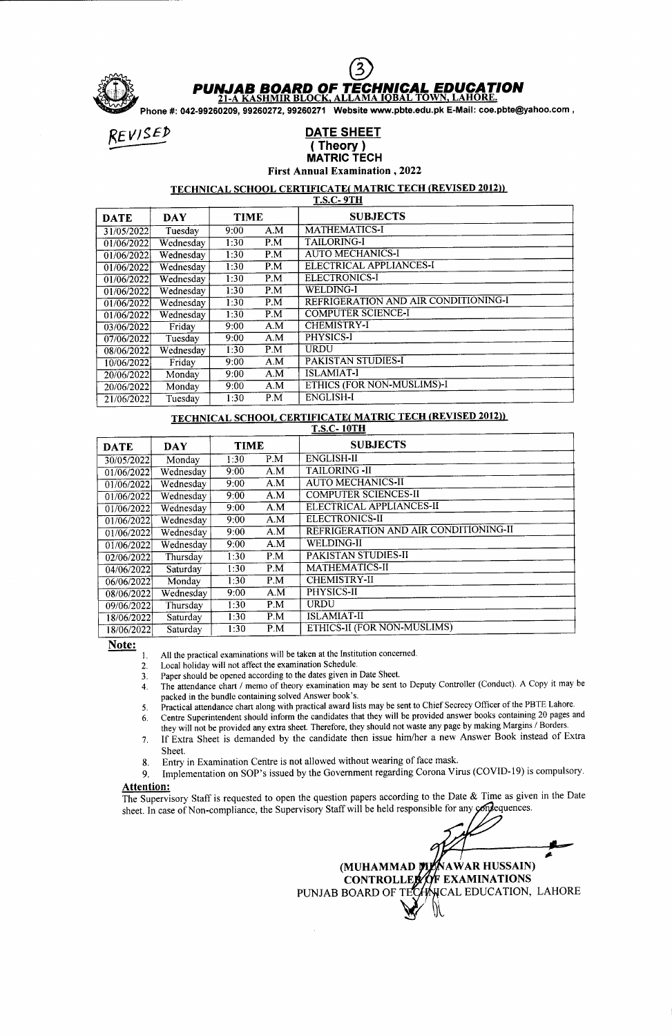

### **JAB BOARD OF TECHNICAL EDUCATION**<br>-A KASHMIR BLOCK, ALLAMA IOBAL TOWN, LAHORE.  $21-A$

Phone #: 042-99260209,99260272,99260271 Website www.pbte.edu.pk E-Mail: coe.pbte@yahoo.com ,

### REVISED DATE SHEET ( Theory ) MATRIC TECH First Annual Examination ,2022

### TECHNICAL SCHOOL CERTIFICATE( MATRIC TECH (REVISED 2012))

| <b>T.S.C-9TH</b> |            |             |     |                                      |  |  |  |
|------------------|------------|-------------|-----|--------------------------------------|--|--|--|
| <b>DATE</b>      | <b>DAY</b> | <b>TIME</b> |     | <b>SUBJECTS</b>                      |  |  |  |
| 31/05/2022       | Tuesday    | 9:00        | A.M | MATHEMATICS-I                        |  |  |  |
| 01/06/2022       | Wednesday  | 1:30        | P.M | <b>TAILORING-I</b>                   |  |  |  |
| 01/06/2022       | Wednesday  | 1:30        | P.M | AUTO MECHANICS-I                     |  |  |  |
| 01/06/2022       | Wednesday  | 1:30        | P.M | ELECTRICAL APPLIANCES-I              |  |  |  |
| 01/06/2022       | Wednesday  | 1:30        | P.M | <b>ELECTRONICS-I</b>                 |  |  |  |
| 01/06/2022       | Wednesday  | 1:30        | P.M | <b>WELDING-I</b>                     |  |  |  |
| 01/06/2022       | Wednesday  | 1:30        | P.M | REFRIGERATION AND AIR CONDITIONING-I |  |  |  |
| 01/06/2022       | Wednesday  | 1:30        | P.M | <b>COMPUTER SCIENCE-I</b>            |  |  |  |
| 03/06/2022       | Friday     | 9:00        | A.M | <b>CHEMISTRY-I</b>                   |  |  |  |
| 07/06/2022       | Tuesday    | 9:00        | A.M | PHYSICS-I                            |  |  |  |
| 08/06/2022       | Wednesday  | 1:30        | P.M | URDU                                 |  |  |  |
| 10/06/2022       | Friday     | 9:00        | A.M | PAKISTAN STUDIES-I                   |  |  |  |
| 20/06/2022       | Monday     | 9:00        | A.M | <b>ISLAMIAT-I</b>                    |  |  |  |
| 20/06/2022       | Monday     | 9:00        | A.M | ETHICS (FOR NON-MUSLIMS)-I           |  |  |  |
| 21/06/2022       | Tuesday    | 1:30        | P.M | <b>ENGLISH-I</b>                     |  |  |  |

# TECHNICAL SCHOOL CERTIFICATE( MATRIC TECH (REVISED 2012))

| <b>DATE</b> | <b>DAY</b> | <b>TIME</b> |                   | <b>SUBJECTS</b>                       |  |  |  |  |
|-------------|------------|-------------|-------------------|---------------------------------------|--|--|--|--|
| 30/05/2022  | Monday     | 1:30        | P.M               | <b>ENGLISH-II</b>                     |  |  |  |  |
| 01/06/2022  | Wednesday  | 9:00        | A.M               | <b>TAILORING -II</b>                  |  |  |  |  |
| 01/06/2022  | Wednesday  | 9:00        | A.M               | <b>AUTO MECHANICS-II</b>              |  |  |  |  |
| 01/06/2022  | Wednesday  | 9:00        | A.M               | <b>COMPUTER SCIENCES-II</b>           |  |  |  |  |
| 01/06/2022  | Wednesday  | 9:00        | A.M               | ELECTRICAL APPLIANCES-II              |  |  |  |  |
| 01/06/2022  | Wednesday  | 9:00        | A.M               | ELECTRONICS-II                        |  |  |  |  |
| 01/06/2022  | Wednesday  | 9:00        | A.M               | REFRIGERATION AND AIR CONDITIONING-II |  |  |  |  |
| 01/06/2022  | Wednesday  | 9:00        | A.M               | <b>WELDING-II</b>                     |  |  |  |  |
| 02/06/2022  | Thursday   | 1:30        | P.M               | PAKISTAN STUDIES-II                   |  |  |  |  |
| 04/06/2022  | Saturday   | 1:30        | P.M               | MATHEMATICS-II                        |  |  |  |  |
| 06/06/2022  | Monday     | 1:30        | P.M               | <b>CHEMISTRY-II</b>                   |  |  |  |  |
| 08/06/2022  | Wednesday  | 9:00        | A.M               | PHYSICS-II                            |  |  |  |  |
| 09/06/2022  | Thursday   | 1:30        | P.M               | <b>URDU</b>                           |  |  |  |  |
| 18/06/2022  | Saturday   | 1:30        | P.M               | <b>ISLAMIAT-II</b>                    |  |  |  |  |
| 18/06/2022  | Saturday   | 1:30        | $\overline{P}$ .M | ETHICS-II (FOR NON-MUSLIMS)           |  |  |  |  |

Note:

All the practical examinations will be taken at the Institution concemed. l.

Local holiday will not affect the examination Schedule. 2.

- Paper should be opened according to the dates given in Date Sheet. 3.
- The attendance chart / memo of iheory examination may be sent to Deputy Controller (Conduct). A Copy it may be packed in the bundle containing solved Answer book's. 4.
- Practical attendance chart along with practical award lists may be sent to Chief Secrecy Officer of the PBTE Lahore. 5.

Centre Superintendent should inform the candidates that they will be provided answer books containing 20 pages and they will not be provided any extra sheet. Therefore, they should not waste any page by making Margins / Borders. b.

- If bxtra Sheet is demanded by the candidate then issue him/her a new Answer Book instead of Extra  $7<sub>1</sub>$ Sheet.
- 
- 8. Entry in Examination Centre is not allowed without wearing of face mask.<br>9. Implementation on SOP's issued by the Government regarding Corona Vi Implementation on SOP's issued by the Government regarding Corona Virus (COVID-19) is compulsory.

#### Attention:

The Supervisory Staff is requested to open the question papers according to the Date  $\&$  Time as given in the Date sheet. In case of Non-compliance, the Supervisory Staff will be held responsible for any contequences.

(MUHAMMAD **MLA**NAWAR HUSSAIN

CONTROLLEX OF EXAMINATIONS

PUNJAB BOARD OF TECHNICAL EDUCATION, LAHORE